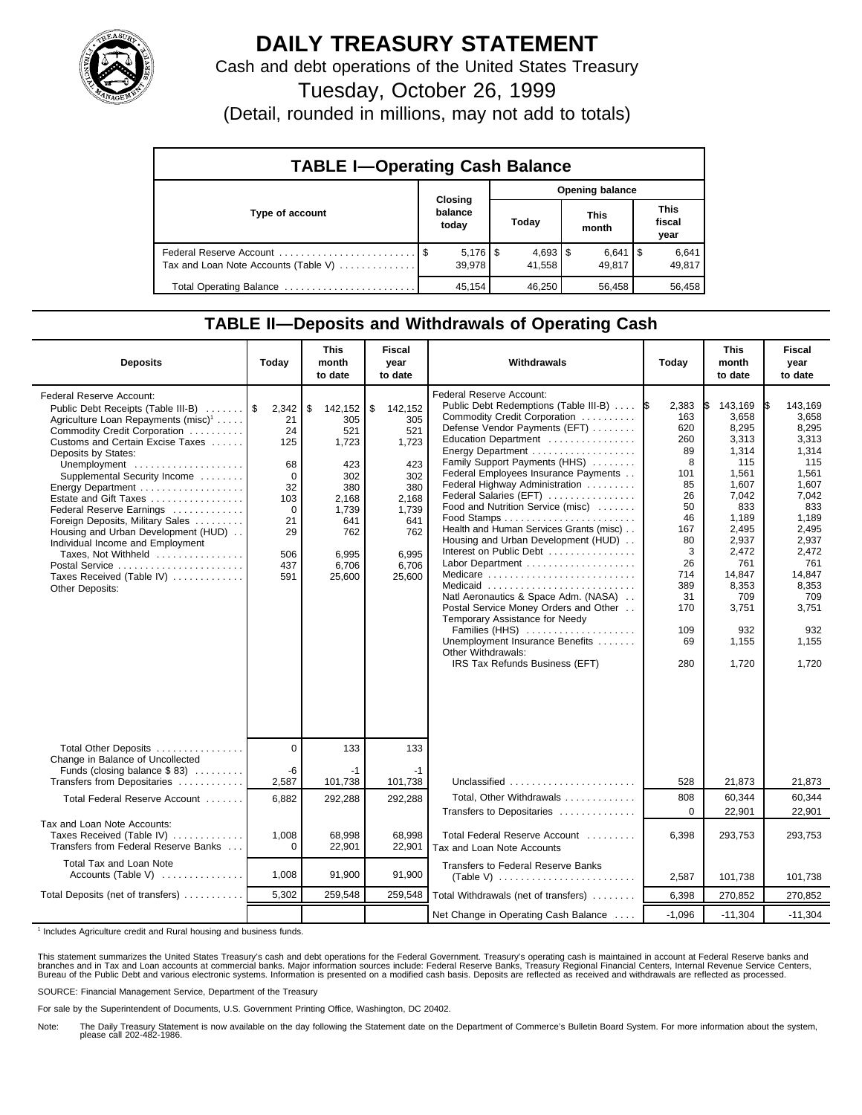

## **DAILY TREASURY STATEMENT**

Cash and debt operations of the United States Treasury

Tuesday, October 26, 1999

(Detail, rounded in millions, may not add to totals)

| <b>TABLE I-Operating Cash Balance</b> |         |                              |                 |                      |  |                      |  |                               |  |
|---------------------------------------|---------|------------------------------|-----------------|----------------------|--|----------------------|--|-------------------------------|--|
|                                       | Closing |                              | Opening balance |                      |  |                      |  |                               |  |
| Type of account                       |         | balance<br>today             |                 | Today                |  | <b>This</b><br>month |  | <b>This</b><br>fiscal<br>year |  |
| Tax and Loan Note Accounts (Table V)  |         | $5,176$ $\sqrt{5}$<br>39.978 |                 | $4,693$ \$<br>41.558 |  | $6,641$ S<br>49.817  |  | 6,641<br>49,817               |  |
| Total Operating Balance               |         | 45.154                       |                 | 46.250               |  | 56.458               |  | 56,458                        |  |

## **TABLE II—Deposits and Withdrawals of Operating Cash**

| <b>Deposits</b>                                                                                                                                                                                                                                                                                                                                                                                                                                                                                                                                | Today                                                                                                   | <b>This</b><br>month<br>to date                                                                                       | Fiscal<br>year<br>to date                                                                                             | Withdrawals                                                                                                                                                                                                                                                                                                                                                                                                                                                                                                                                                                                                                                                                                                                                               | Today                                                                                                                                              | <b>This</b><br>month<br>to date                                                                                                                                                             | <b>Fiscal</b><br>year<br>to date                                                                                                                                                                   |
|------------------------------------------------------------------------------------------------------------------------------------------------------------------------------------------------------------------------------------------------------------------------------------------------------------------------------------------------------------------------------------------------------------------------------------------------------------------------------------------------------------------------------------------------|---------------------------------------------------------------------------------------------------------|-----------------------------------------------------------------------------------------------------------------------|-----------------------------------------------------------------------------------------------------------------------|-----------------------------------------------------------------------------------------------------------------------------------------------------------------------------------------------------------------------------------------------------------------------------------------------------------------------------------------------------------------------------------------------------------------------------------------------------------------------------------------------------------------------------------------------------------------------------------------------------------------------------------------------------------------------------------------------------------------------------------------------------------|----------------------------------------------------------------------------------------------------------------------------------------------------|---------------------------------------------------------------------------------------------------------------------------------------------------------------------------------------------|----------------------------------------------------------------------------------------------------------------------------------------------------------------------------------------------------|
| Federal Reserve Account:<br>Public Debt Receipts (Table III-B)<br>Agriculture Loan Repayments (misc) <sup>1</sup><br>Commodity Credit Corporation<br>Customs and Certain Excise Taxes<br>Deposits by States:<br>Unemployment<br>Supplemental Security Income<br>Energy Department<br>Estate and Gift Taxes<br>Federal Reserve Earnings<br>Foreign Deposits, Military Sales<br>Housing and Urban Development (HUD)<br>Individual Income and Employment<br>Taxes, Not Withheld<br>Postal Service<br>Taxes Received (Table IV)<br>Other Deposits: | 2,342<br>21<br>24<br>125<br>68<br>$\mathbf 0$<br>32<br>103<br>$\Omega$<br>21<br>29<br>506<br>437<br>591 | \$<br>142,152<br>305<br>521<br>1,723<br>423<br>302<br>380<br>2,168<br>1,739<br>641<br>762<br>6,995<br>6,706<br>25,600 | \$<br>142,152<br>305<br>521<br>1,723<br>423<br>302<br>380<br>2,168<br>1,739<br>641<br>762<br>6.995<br>6.706<br>25,600 | <b>Federal Reserve Account:</b><br>Public Debt Redemptions (Table III-B)<br>Commodity Credit Corporation<br>Defense Vendor Payments (EFT)<br>Education Department<br>Energy Department<br>Family Support Payments (HHS)<br>Federal Employees Insurance Payments<br>Federal Highway Administration<br>Federal Salaries (EFT)<br>Food and Nutrition Service (misc)<br>Health and Human Services Grants (misc)<br>Housing and Urban Development (HUD)<br>Interest on Public Debt<br>Labor Department<br>Medicare<br>Medicaid<br>Natl Aeronautics & Space Adm. (NASA)<br>Postal Service Money Orders and Other<br>Temporary Assistance for Needy<br>Families (HHS)<br>Unemployment Insurance Benefits<br>Other Withdrawals:<br>IRS Tax Refunds Business (EFT) | 2,383<br>1\$<br>163<br>620<br>260<br>89<br>8<br>101<br>85<br>26<br>50<br>46<br>167<br>80<br>3<br>26<br>714<br>389<br>31<br>170<br>109<br>69<br>280 | 143,169<br>3,658<br>8,295<br>3,313<br>1,314<br>115<br>1,561<br>1,607<br>7,042<br>833<br>1,189<br>2,495<br>2,937<br>2,472<br>761<br>14,847<br>8,353<br>709<br>3,751<br>932<br>1,155<br>1,720 | 143.169<br>I\$<br>3.658<br>8,295<br>3,313<br>1.314<br>115<br>1,561<br>1,607<br>7.042<br>833<br>1,189<br>2,495<br>2,937<br>2,472<br>761<br>14,847<br>8,353<br>709<br>3,751<br>932<br>1,155<br>1,720 |
| Total Other Deposits                                                                                                                                                                                                                                                                                                                                                                                                                                                                                                                           | $\overline{0}$                                                                                          | 133                                                                                                                   | 133                                                                                                                   |                                                                                                                                                                                                                                                                                                                                                                                                                                                                                                                                                                                                                                                                                                                                                           |                                                                                                                                                    |                                                                                                                                                                                             |                                                                                                                                                                                                    |
| Change in Balance of Uncollected<br>Funds (closing balance \$83)<br>Transfers from Depositaries                                                                                                                                                                                                                                                                                                                                                                                                                                                | -6<br>2,587                                                                                             | $-1$<br>101,738                                                                                                       | -1<br>101,738                                                                                                         | Unclassified                                                                                                                                                                                                                                                                                                                                                                                                                                                                                                                                                                                                                                                                                                                                              | 528                                                                                                                                                | 21,873                                                                                                                                                                                      | 21,873                                                                                                                                                                                             |
| Total Federal Reserve Account                                                                                                                                                                                                                                                                                                                                                                                                                                                                                                                  | 6,882                                                                                                   | 292,288                                                                                                               | 292,288                                                                                                               | Total. Other Withdrawals                                                                                                                                                                                                                                                                                                                                                                                                                                                                                                                                                                                                                                                                                                                                  | 808<br>$\Omega$                                                                                                                                    | 60.344                                                                                                                                                                                      | 60.344                                                                                                                                                                                             |
| Tax and Loan Note Accounts:<br>Taxes Received (Table IV)<br>Transfers from Federal Reserve Banks                                                                                                                                                                                                                                                                                                                                                                                                                                               | 1,008<br>$\Omega$                                                                                       | 68,998<br>22,901                                                                                                      | 68,998<br>22,901                                                                                                      | Transfers to Depositaries<br>Total Federal Reserve Account<br>Tax and Loan Note Accounts                                                                                                                                                                                                                                                                                                                                                                                                                                                                                                                                                                                                                                                                  | 6,398                                                                                                                                              | 22,901<br>293,753                                                                                                                                                                           | 22,901<br>293,753                                                                                                                                                                                  |
| Total Tax and Loan Note<br>Accounts (Table V)                                                                                                                                                                                                                                                                                                                                                                                                                                                                                                  | 1,008                                                                                                   | 91,900                                                                                                                | 91,900                                                                                                                | <b>Transfers to Federal Reserve Banks</b>                                                                                                                                                                                                                                                                                                                                                                                                                                                                                                                                                                                                                                                                                                                 | 2,587                                                                                                                                              | 101,738                                                                                                                                                                                     | 101,738                                                                                                                                                                                            |
| Total Deposits (net of transfers)                                                                                                                                                                                                                                                                                                                                                                                                                                                                                                              | 5,302                                                                                                   | 259,548                                                                                                               | 259,548                                                                                                               | Total Withdrawals (net of transfers)                                                                                                                                                                                                                                                                                                                                                                                                                                                                                                                                                                                                                                                                                                                      | 6,398                                                                                                                                              | 270,852                                                                                                                                                                                     | 270,852                                                                                                                                                                                            |
|                                                                                                                                                                                                                                                                                                                                                                                                                                                                                                                                                |                                                                                                         |                                                                                                                       |                                                                                                                       | Net Change in Operating Cash Balance                                                                                                                                                                                                                                                                                                                                                                                                                                                                                                                                                                                                                                                                                                                      | $-1.096$                                                                                                                                           | $-11,304$                                                                                                                                                                                   | $-11,304$                                                                                                                                                                                          |

<sup>1</sup> Includes Agriculture credit and Rural housing and business funds.

This statement summarizes the United States Treasury's cash and debt operations for the Federal Government. Treasury's operating cash is maintained in account at Federal Reserve banks and<br>branches and in Tax and Loan accou

SOURCE: Financial Management Service, Department of the Treasury

For sale by the Superintendent of Documents, U.S. Government Printing Office, Washington, DC 20402.

Note: The Daily Treasury Statement is now available on the day following the Statement date on the Department of Commerce's Bulletin Board System. For more information about the system, please call 202-482-1986.